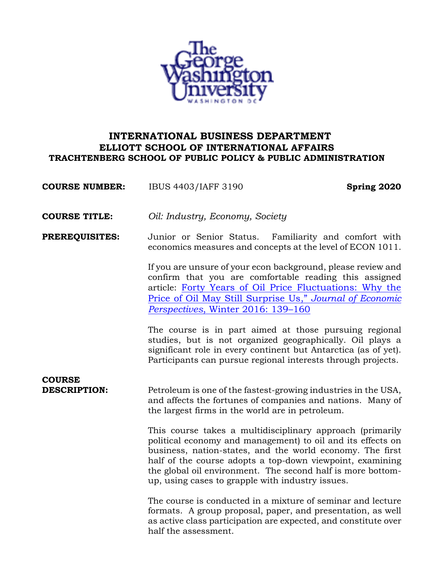

# **INTERNATIONAL BUSINESS DEPARTMENT ELLIOTT SCHOOL OF INTERNATIONAL AFFAIRS TRACHTENBERG SCHOOL OF PUBLIC POLICY & PUBLIC ADMINISTRATION**

**COURSE NUMBER:** IBUS 4403/IAFF 3190 **Spring 2020**

**COURSE TITLE:** *Oil: Industry, Economy, Society*

**PREREQUISITES:** Junior or Senior Status.Familiarity and comfort with economics measures and concepts at the level of ECON 1011.

> If you are unsure of your econ background, please review and confirm that you are comfortable reading this assigned article: Forty Years of Oil Price Fluctuations: Why the Price of Oil May Still Surprise Us," *Journal of Economic Perspectives*, Winter 2016: 139–160

> The course is in part aimed at those pursuing regional studies, but is not organized geographically. Oil plays a significant role in every continent but Antarctica (as of yet). Participants can pursue regional interests through projects.

# **COURSE**

**DESCRIPTION:** Petroleum is one of the fastest-growing industries in the USA, and affects the fortunes of companies and nations. Many of the largest firms in the world are in petroleum.

> This course takes a multidisciplinary approach (primarily political economy and management) to oil and its effects on business, nation-states, and the world economy. The first half of the course adopts a top-down viewpoint, examining the global oil environment. The second half is more bottomup, using cases to grapple with industry issues.

> The course is conducted in a mixture of seminar and lecture formats. A group proposal, paper, and presentation, as well as active class participation are expected, and constitute over half the assessment.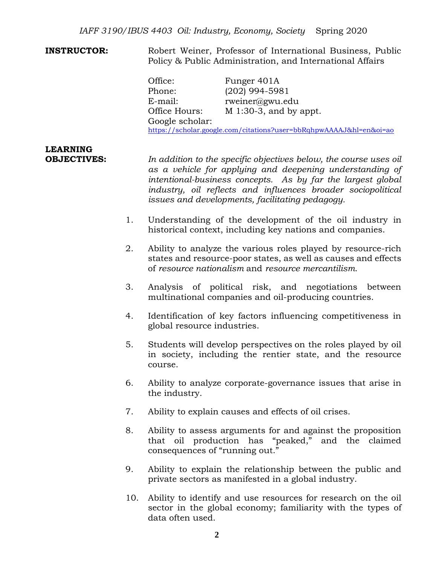**INSTRUCTOR:** Robert Weiner, Professor of International Business, Public Policy & Public Administration, and International Affairs

> Office: Funger 401A Phone: (202) 994-5981 E-mail: rweiner@gwu.edu Office Hours: M 1:30-3, and by appt. Google scholar: https://scholar.google.com/citations?user=bbRqhpwAAAAJ&hl=en&oi=ao

# **LEARNING**

**OBJECTIVES:** *In addition to the specific objectives below, the course uses oil as a vehicle for applying and deepening understanding of intentional-business concepts. As by far the largest global industry, oil reflects and influences broader sociopolitical issues and developments, facilitating pedagogy.*

- 1. Understanding of the development of the oil industry in historical context, including key nations and companies.
- 2. Ability to analyze the various roles played by resource-rich states and resource-poor states, as well as causes and effects of *resource nationalism* and *resource mercantilism*.
- 3. Analysis of political risk, and negotiations between multinational companies and oil-producing countries.
- 4. Identification of key factors influencing competitiveness in global resource industries.
- 5. Students will develop perspectives on the roles played by oil in society, including the rentier state, and the resource course.
- 6. Ability to analyze corporate-governance issues that arise in the industry.
- 7. Ability to explain causes and effects of oil crises.
- 8. Ability to assess arguments for and against the proposition that oil production has "peaked," and the claimed consequences of "running out."
- 9. Ability to explain the relationship between the public and private sectors as manifested in a global industry.
- 10. Ability to identify and use resources for research on the oil sector in the global economy; familiarity with the types of data often used.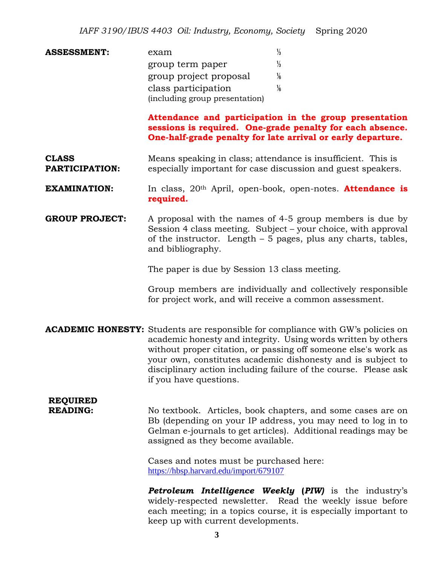**ASSESSMENT:** exam ⅓ group term paper ⅓ group project proposal  $\frac{1}{6}$ class participation ⅙ (including group presentation)

> **Attendance and participation in the group presentation sessions is required. One-grade penalty for each absence. One-half-grade penalty for late arrival or early departure.**

- **CLASS** Means speaking in class; attendance is insufficient. This is **PARTICIPATION:** especially important for case discussion and guest speakers.
- **EXAMINATION:** In class, 20th April, open-book, open-notes. **Attendance is required.**
- **GROUP PROJECT:** A proposal with the names of 4-5 group members is due by Session 4 class meeting. Subject – your choice, with approval of the instructor. Length – 5 pages, plus any charts, tables, and bibliography.

The paper is due by Session 13 class meeting.

Group members are individually and collectively responsible for project work, and will receive a common assessment.

**ACADEMIC HONESTY:** Students are responsible for compliance with GW's policies on academic honesty and integrity. Using words written by others without proper citation, or passing off someone else's work as your own, constitutes academic dishonesty and is subject to disciplinary action including failure of the course. Please ask if you have questions.

# **REQUIRED**

**READING:** No textbook. Articles, book chapters, and some cases are on Bb (depending on your IP address, you may need to log in to Gelman e-journals to get articles). Additional readings may be assigned as they become available.

> Cases and notes must be purchased here: https://hbsp.harvard.edu/import/679107

*Petroleum Intelligence Weekly* **(***PIW)* is the industry's widely-respected newsletter. Read the weekly issue before each meeting; in a topics course, it is especially important to keep up with current developments.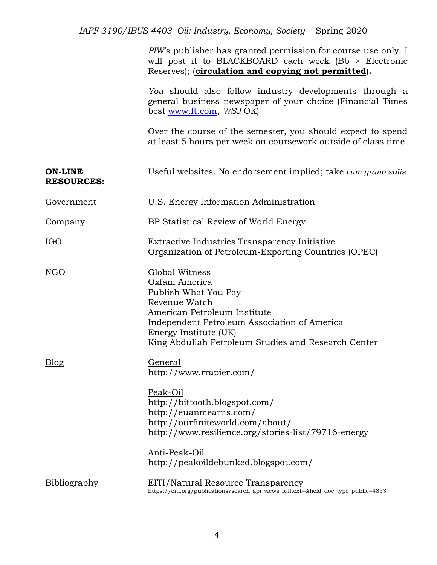*PIW*'s publisher has granted permission for course use only. I will post it to BLACKBOARD each week (Bb > Electronic Reserves); (**circulation and copying not permitted**)**.**

*You* should also follow industry developments through a general business newspaper of your choice (Financial Times best www.ft.com, *WSJ* OK)

Over the course of the semester, you should expect to spend at least 5 hours per week on coursework outside of class time.

| <b>ON-LINE</b><br><b>RESOURCES:</b> | Useful websites. No endorsement implied; take cum grano salis                                                                                                                                                                                                 |
|-------------------------------------|---------------------------------------------------------------------------------------------------------------------------------------------------------------------------------------------------------------------------------------------------------------|
| Government                          | U.S. Energy Information Administration                                                                                                                                                                                                                        |
| <u>Company</u>                      | BP Statistical Review of World Energy                                                                                                                                                                                                                         |
| IGO                                 | Extractive Industries Transparency Initiative<br>Organization of Petroleum-Exporting Countries (OPEC)                                                                                                                                                         |
| <b>NGO</b>                          | Global Witness<br>Oxfam America<br>Publish What You Pay<br>Revenue Watch<br>American Petroleum Institute<br>Independent Petroleum Association of America<br>Energy Institute (UK)<br>King Abdullah Petroleum Studies and Research Center                      |
| <b>Blog</b>                         | General<br>http://www.rrapier.com/<br>Peak-Oil<br>http://bittooth.blogspot.com/<br>http://euanmearns.com/<br>http://ourfiniteworld.com/about/<br>http://www.resilience.org/stories-list/79716-energy<br>Anti-Peak-Oil<br>http://peakoildebunked.blogspot.com/ |
| Bibliography                        | <u>EITI/Natural Resource Transparency</u><br>https://eiti.org/publications?search_api_views_fulltext=&field_doc_type_public=4853                                                                                                                              |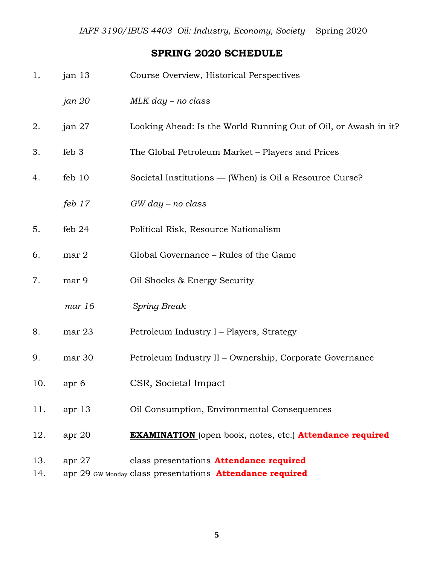# **SPRING 2020 SCHEDULE**

| 1.         | jan 13   | Course Overview, Historical Perspectives                                                                          |
|------------|----------|-------------------------------------------------------------------------------------------------------------------|
|            | jan 20   | $MLK$ day – no class                                                                                              |
| 2.         | jan 27   | Looking Ahead: Is the World Running Out of Oil, or Awash in it?                                                   |
| 3.         | feb 3    | The Global Petroleum Market – Players and Prices                                                                  |
| 4.         | feb 10   | Societal Institutions — (When) is Oil a Resource Curse?                                                           |
|            | feb $17$ | $GW$ day – no class                                                                                               |
| 5.         | feb $24$ | Political Risk, Resource Nationalism                                                                              |
| 6.         | mar 2    | Global Governance – Rules of the Game                                                                             |
| 7.         | mar 9    | Oil Shocks & Energy Security                                                                                      |
|            | mar 16   | <b>Spring Break</b>                                                                                               |
| 8.         | mar 23   | Petroleum Industry I – Players, Strategy                                                                          |
| 9.         | mar 30   | Petroleum Industry II - Ownership, Corporate Governance                                                           |
| 10.        | apr 6    | CSR, Societal Impact                                                                                              |
| 11.        | apr 13   | Oil Consumption, Environmental Consequences                                                                       |
| 12.        | apr 20   | <b>EXAMINATION</b> (open book, notes, etc.) Attendance required                                                   |
| 13.<br>14. | apr $27$ | class presentations <b>Attendance required</b><br>apr 29 GW Monday class presentations <b>Attendance required</b> |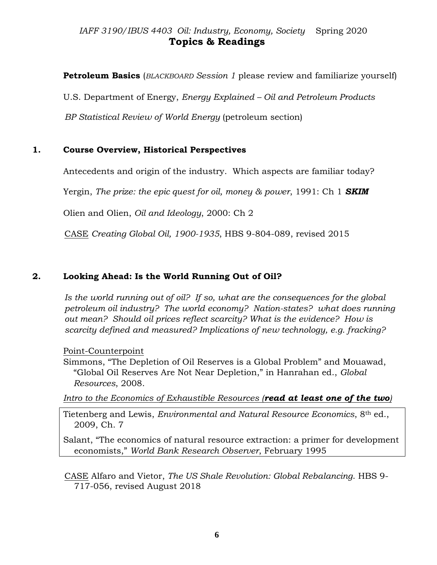# *IAFF 3190/IBUS 4403 Oil: Industry, Economy, Society* Spring 2020 **Topics & Readings**

**Petroleum Basics** (*BLACKBOARD Session 1* please review and familiarize yourself)

U.S. Department of Energy, *Energy Explained – Oil and Petroleum Products*

*BP Statistical Review of World Energy* (petroleum section)

# **1. Course Overview, Historical Perspectives**

Antecedents and origin of the industry. Which aspects are familiar today?

Yergin, *The prize: the epic quest for oil, money & power*, 1991: Ch 1 *SKIM*

Olien and Olien, *Oil and Ideology*, 2000: Ch 2

CASE *Creating Global Oil, 1900-1935*, HBS 9-804-089, revised 2015

# **2. Looking Ahead: Is the World Running Out of Oil?**

*Is the world running out of oil? If so, what are the consequences for the global petroleum oil industry? The world economy? Nation-states? what does running out mean? Should oil prices reflect scarcity? What is the evidence? How is scarcity defined and measured? Implications of new technology, e.g. fracking?*

# Point-Counterpoint

Simmons, "The Depletion of Oil Reserves is a Global Problem" and Mouawad, "Global Oil Reserves Are Not Near Depletion," in Hanrahan ed., *Global Resources*, 2008.

*Intro to the Economics of Exhaustible Resources (read at least one of the two)* 

Tietenberg and Lewis, *Environmental and Natural Resource Economics*, 8th ed., 2009, Ch. 7

Salant, "The economics of natural resource extraction: a primer for development economists," *World Bank Research Observer*, February 1995

CASE Alfaro and Vietor, *The US Shale Revolution: Global Rebalancing*. HBS 9- 717-056, revised August 2018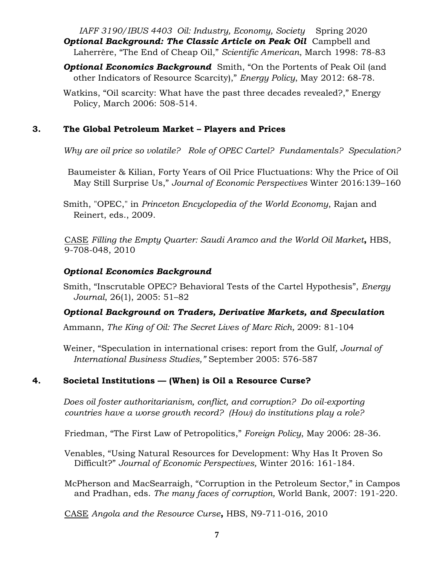*IAFF 3190/IBUS 4403 Oil: Industry, Economy, Society* Spring 2020 **Optional Background: The Classic Article on Peak Oil** Campbell and Laherrère, "The End of Cheap Oil," *Scientific American*, March 1998: 78-83

*Optional Economics Background* Smith, "On the Portents of Peak Oil (and other Indicators of Resource Scarcity)," *Energy Policy*, May 2012: 68-78.

Watkins, "Oil scarcity: What have the past three decades revealed?," Energy Policy, March 2006: 508-514.

# **3. The Global Petroleum Market – Players and Prices**

*Why are oil price so volatile? Role of OPEC Cartel? Fundamentals? Speculation?*

Baumeister & Kilian, Forty Years of Oil Price Fluctuations: Why the Price of Oil May Still Surprise Us," *Journal of Economic Perspectives* Winter 2016:139–160

Smith, "OPEC," in *Princeton Encyclopedia of the World Economy*, Rajan and Reinert, eds., 2009.

CASE *Filling the Empty Quarter: Saudi Aramco and the World Oil Market***,** HBS, 9-708-048, 2010

# *Optional Economics Background*

Smith, "Inscrutable OPEC? Behavioral Tests of the Cartel Hypothesis", *Energy Journal*, 26(1), 2005: 51–82

# *Optional Background on Traders, Derivative Markets, and Speculation*

Ammann, *The King of Oil: The Secret Lives of Marc Rich,* 2009: 81-104

Weiner, "Speculation in international crises: report from the Gulf*, Journal of International Business Studies,"* September 2005: 576-587

# **4. Societal Institutions — (When) is Oil a Resource Curse?**

*Does oil foster authoritarianism, conflict, and corruption? Do oil-exporting countries have a worse growth record? (How) do institutions play a role?* 

Friedman, "The First Law of Petropolitics," *Foreign Policy*, May 2006: 28-36.

Venables, "Using Natural Resources for Development: Why Has It Proven So Difficult?" *Journal of Economic Perspectives,* Winter 2016: 161-184.

McPherson and MacSearraigh, "Corruption in the Petroleum Sector," in Campos and Pradhan, eds. *The many faces of corruption,* World Bank, 2007: 191-220.

CASE *Angola and the Resource Curse***,** HBS, N9-711-016, 2010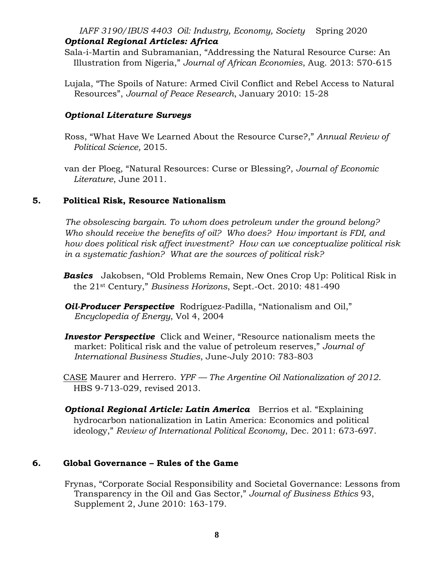#### *IAFF 3190/IBUS 4403 Oil: Industry, Economy, Society* Spring 2020 *Optional Regional Articles: Africa*

- Sala-i-Martin and Subramanian, "Addressing the Natural Resource Curse: An Illustration from Nigeria," *Journal of African Economies*, Aug. 2013: 570-615
- Lujala, "The Spoils of Nature: Armed Civil Conflict and Rebel Access to Natural Resources", *Journal of Peace Research*, January 2010: 15-28

#### *Optional Literature Surveys*

Ross, "What Have We Learned About the Resource Curse?," *Annual Review of Political Science,* 2015.

van der Ploeg, "Natural Resources: Curse or Blessing?, *Journal of Economic Literature*, June 2011.

#### **5. Political Risk, Resource Nationalism**

*The obsolescing bargain. To whom does petroleum under the ground belong? Who should receive the benefits of oil? Who does? How important is FDI, and how does political risk affect investment? How can we conceptualize political risk in a systematic fashion? What are the sources of political risk?*

- *Basics* Jakobsen, "Old Problems Remain, New Ones Crop Up: Political Risk in the 21st Century," *Business Horizons*, Sept.-Oct. 2010: 481-490
- *Oil-Producer Perspective* Rodríguez-Padilla, "Nationalism and Oil," *Encyclopedia of Energy*, Vol 4, 2004
- *Investor Perspective* Click and Weiner, "Resource nationalism meets the market: Political risk and the value of petroleum reserves," *Journal of International Business Studies*, June-July 2010: 783-803
- CASE Maurer and Herrero. *YPF — The Argentine Oil Nationalization of 2012*. HBS 9-713-029, revised 2013.
- **Optional Regional Article: Latin America** Berrios et al. "Explaining hydrocarbon nationalization in Latin America: Economics and political ideology," *Review of International Political Economy*, Dec. 2011: 673-697.

# **6. Global Governance – Rules of the Game**

Frynas, "Corporate Social Responsibility and Societal Governance: Lessons from Transparency in the Oil and Gas Sector," *Journal of Business Ethics* 93, Supplement 2, June 2010: 163-179.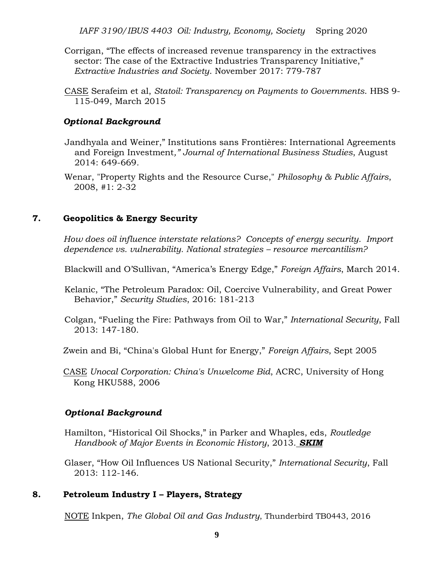*IAFF 3190/IBUS 4403 Oil: Industry, Economy, Society* Spring 2020

- Corrigan, "The effects of increased revenue transparency in the extractives sector: The case of the Extractive Industries Transparency Initiative," *Extractive Industries and Society*. November 2017: 779-787
- CASE Serafeim et al, *Statoil: Transparency on Payments to Governments*. HBS 9- 115-049, March 2015

#### *Optional Background*

- Jandhyala and Weiner," Institutions sans Frontières: International Agreements and Foreign Investment*," Journal of International Business Studies*, August 2014: 649-669*.*
- Wenar, "Property Rights and the Resource Curse," *Philosophy & Public Affairs*, 2008, #1: 2-32

#### **7. Geopolitics & Energy Security**

*How does oil influence interstate relations? Concepts of energy security. Import dependence vs. vulnerability. National strategies – resource mercantilism?* 

Blackwill and O'Sullivan, "America's Energy Edge," *Foreign Affairs*, March 2014.

Kelanic, "The Petroleum Paradox: Oil, Coercive Vulnerability, and Great Power Behavior," *Security Studies*, 2016: 181-213

Colgan, "Fueling the Fire: Pathways from Oil to War," *International Security*, Fall 2013: 147-180.

Zwein and Bi, "China's Global Hunt for Energy," *Foreign Affairs*, Sept 2005

CASE *Unocal Corporation: China's Unwelcome Bid*, ACRC, University of Hong Kong HKU588, 2006

# *Optional Background*

- Hamilton, "Historical Oil Shocks," in Parker and Whaples, eds, *Routledge Handbook of Major Events in Economic History*, 2013. *SKIM*
- Glaser, "How Oil Influences US National Security," *International Security*, Fall 2013: 112-146.

# **8. Petroleum Industry I – Players, Strategy**

NOTE Inkpen, *The Global Oil and Gas Industry*, Thunderbird TB0443, 2016